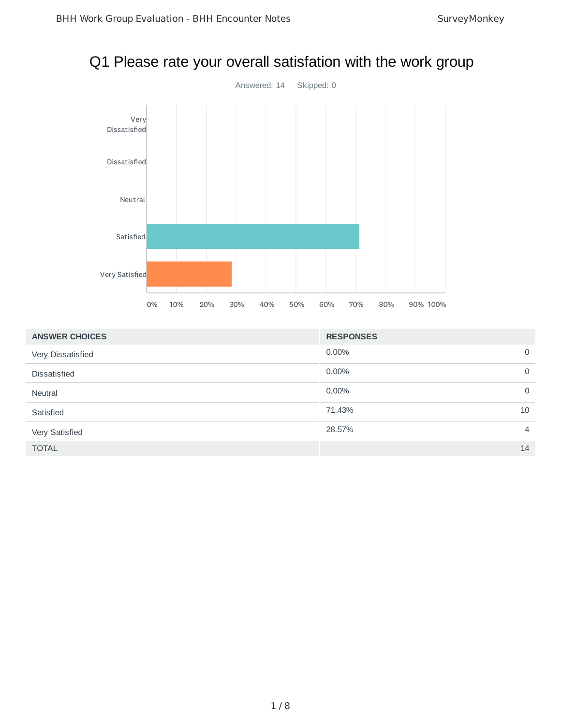# Q1 Please rate your overall satisfation with the work group



| <b>ANSWER CHOICES</b> | <b>RESPONSES</b>         |
|-----------------------|--------------------------|
| Very Dissatisfied     | 0.00%<br>$\mathbf 0$     |
| <b>Dissatisfied</b>   | 0.00%<br>0               |
| Neutral               | $0.00\%$<br>$\mathbf 0$  |
| Satisfied             | 71.43%<br>10             |
| Very Satisfied        | 28.57%<br>$\overline{4}$ |
| <b>TOTAL</b>          | 14                       |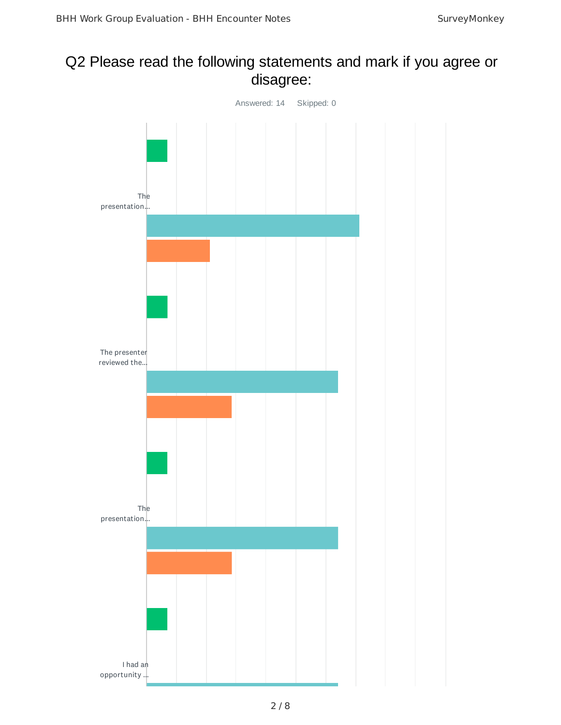### Q2 Please read the following statements and mark if you agree or disagree:

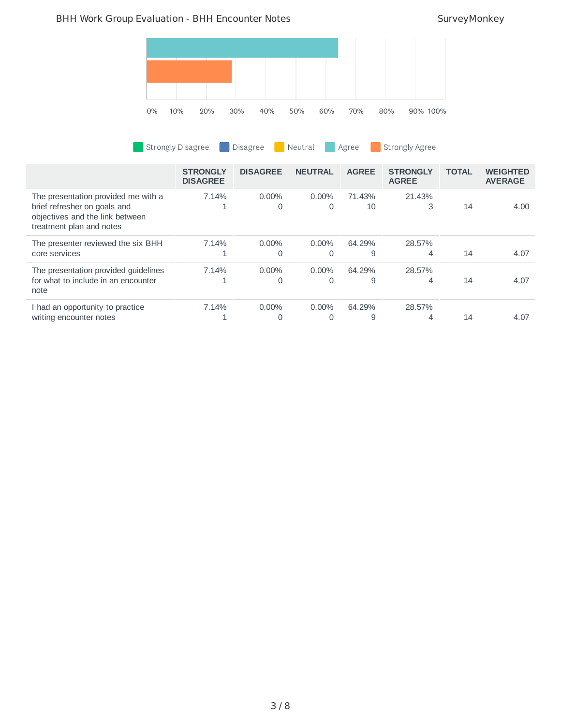### BHH Work Group Evaluation - BHH Encounter Notes SurveyMonkey

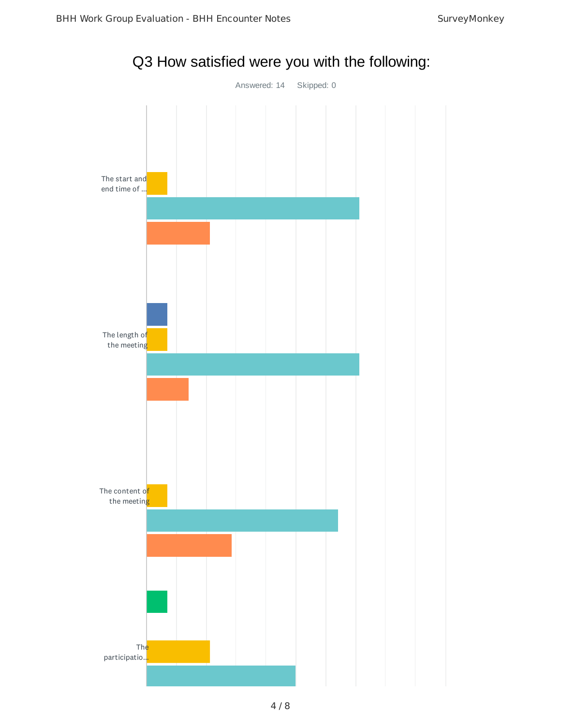

Q3 How satisfied were you with the following: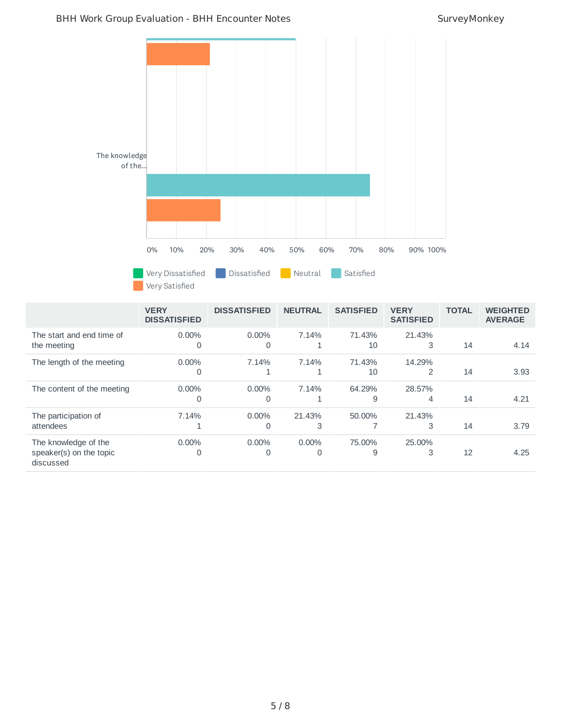4.14

**TOTAL WEIGHTED AVERAGE**

3.93

| The knowledge<br>of the                  | $0\%$                              | 10%<br>Very Dissatisfied<br>Very Satisfied | 20% | 30%<br>Dissatisfied | 40%                 | 50%<br>Neutral | 60% | 70%<br>Satisfied | 80%         | 90% 100%                 |              |  |
|------------------------------------------|------------------------------------|--------------------------------------------|-----|---------------------|---------------------|----------------|-----|------------------|-------------|--------------------------|--------------|--|
|                                          | <b>VERY</b><br><b>DISSATISFIED</b> |                                            |     | <b>DISSATISFIED</b> |                     | <b>NEUTRAL</b> |     | <b>SATISFIED</b> | <b>VERY</b> | <b>SATISFIED</b>         | <b>TOTAL</b> |  |
| The start and end time of<br>the meeting |                                    | 0.00%                                      | 0   | 0.00%               | $\mathsf{O}\xspace$ | 7.14%<br>$1\,$ |     | 71.43%<br>$10$   |             | 21.43%<br>3              | 14           |  |
| The length of the meeting                |                                    | 0.00%                                      | 0   | 7.14%               | 1                   | 7.14%<br>1     |     | 71.43%<br>10     |             | 14.29%<br>$\overline{c}$ | 14           |  |
| The content of the meeting               |                                    | 0.00%                                      | 0   | 0.00%               | 0                   | 7.14%<br>1     |     | 64.29%<br>9      |             | 28.57%<br>4              | 14           |  |

| The content of the meeting                                   | $0.00\%$<br>0 | $0.00\%$ | 7.14%    | 64.29% | 28.57% | 14 | 4.21 |
|--------------------------------------------------------------|---------------|----------|----------|--------|--------|----|------|
| The participation of<br>attendees                            | 7.14%         | $0.00\%$ | 21.43%   | 50.00% | 21.43% | 14 | 3.79 |
| The knowledge of the<br>speaker(s) on the topic<br>discussed | $0.00\%$      | $0.00\%$ | $0.00\%$ | 75.00% | 25.00% | 12 | 4.25 |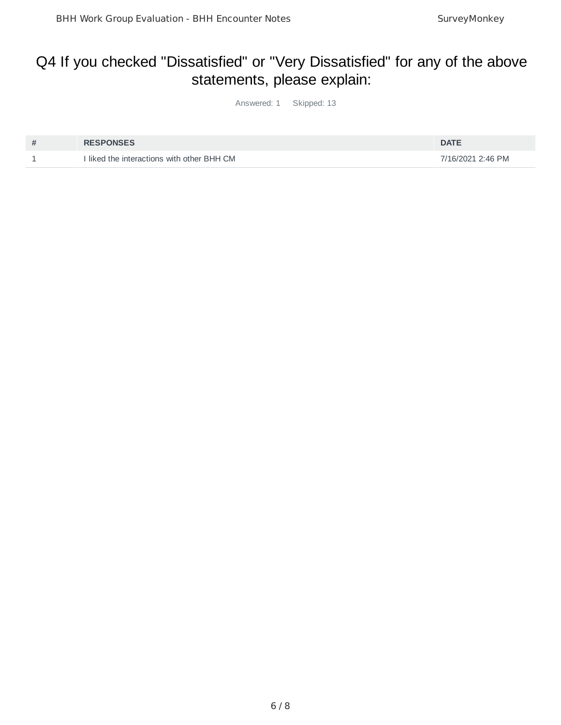## Q4 If you checked "Dissatisfied" or "Very Dissatisfied" for any of the above statements, please explain:

Answered: 1 Skipped: 13

| # | <b>RESPONSES</b>                           | <b>DATE</b>       |
|---|--------------------------------------------|-------------------|
|   | I liked the interactions with other BHH CM | 7/16/2021 2:46 PM |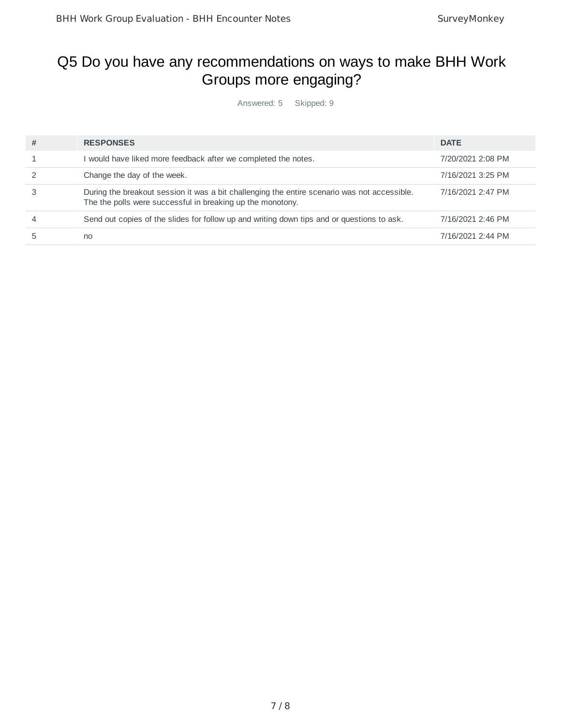## Q5 Do you have any recommendations on ways to make BHH Work Groups more engaging?

Answered: 5 Skipped: 9

| # | <b>RESPONSES</b>                                                                                                                                           | <b>DATE</b>       |
|---|------------------------------------------------------------------------------------------------------------------------------------------------------------|-------------------|
|   | would have liked more feedback after we completed the notes.                                                                                               | 7/20/2021 2:08 PM |
|   | Change the day of the week.                                                                                                                                | 7/16/2021 3:25 PM |
|   | During the breakout session it was a bit challenging the entire scenario was not accessible.<br>The the polls were successful in breaking up the monotony. | 7/16/2021 2:47 PM |
| 4 | Send out copies of the slides for follow up and writing down tips and or questions to ask.                                                                 | 7/16/2021 2:46 PM |
|   | no                                                                                                                                                         | 7/16/2021 2:44 PM |
|   |                                                                                                                                                            |                   |